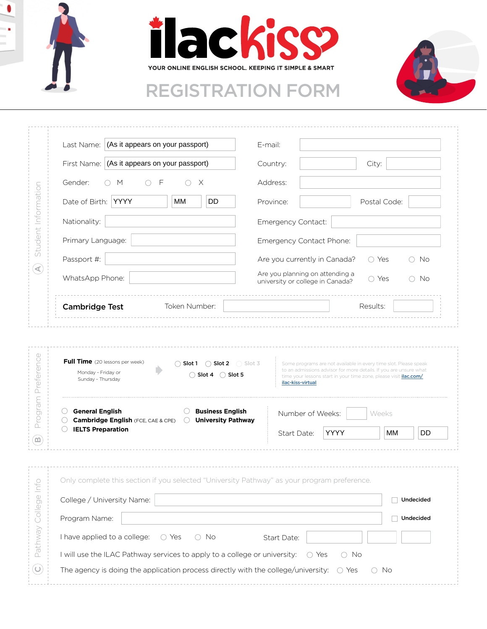





|                                         | Last Name: (As it appears on your passport)                                                 |                                                                                                  | E-mail:            |                                                                                                                                       |               |              |    |           |
|-----------------------------------------|---------------------------------------------------------------------------------------------|--------------------------------------------------------------------------------------------------|--------------------|---------------------------------------------------------------------------------------------------------------------------------------|---------------|--------------|----|-----------|
|                                         | First Name: (As it appears on your passport)                                                |                                                                                                  |                    | Country:<br>City:                                                                                                                     |               |              |    |           |
|                                         | Gender:<br>F<br>$\times$<br>М                                                               |                                                                                                  | Address:           |                                                                                                                                       |               |              |    |           |
| Student Information                     | Date of Birth: YYYY                                                                         | DD<br>МM                                                                                         | Province:          |                                                                                                                                       |               | Postal Code: |    |           |
|                                         | Nationality:                                                                                |                                                                                                  | Emergency Contact: |                                                                                                                                       |               |              |    |           |
|                                         | Primary Language:                                                                           |                                                                                                  |                    | Emergency Contact Phone:                                                                                                              |               |              |    |           |
|                                         | Passport #:                                                                                 |                                                                                                  |                    | Are you currently in Canada?                                                                                                          |               | ◯ Yes        |    | ○ No      |
| $\left( \blacktriangleleft \right)$     | WhatsApp Phone:                                                                             |                                                                                                  |                    | Are you planning on attending a<br>$\bigcirc$ No<br>◯ Yes<br>university or college in Canada?                                         |               |              |    |           |
|                                         | <b>Cambridge Test</b>                                                                       | Token Number:                                                                                    |                    |                                                                                                                                       |               | Results:     |    |           |
|                                         | Full Time (20 lessons per week)<br>Monday - Friday or                                       | $\bigcirc$ Slot 1<br>$\bigcap$ Slot 2 $\bigcap$ Slot 3<br>$\bigcirc$ Slot 4<br>$\bigcirc$ Slot 5 |                    | Some programs are not available in every time slot. Please speak<br>to an admissions advisor for more details. If you are unsure what |               |              |    |           |
| Preference                              | Sunday - Thursday<br><b>General English</b>                                                 | <b>Business English</b>                                                                          |                    | time your lessons start in your time zone, please visit <i>ilac.com/</i><br>ilac-kiss-virtual<br>Number of Weeks:                     |               | Weeks        |    |           |
| Program                                 | <b>Cambridge English (FCE, CAE &amp; CPE)</b><br><b>IELTS Preparation</b>                   | <b>University Pathway</b><br>$\left(\right)$                                                     |                    | Start Date:                                                                                                                           | YYYY          |              | MМ | DD        |
| $\left( \text{m} \right)$<br>$\bigcirc$ | Only complete this section if you selected "University Pathway" as your program preference. |                                                                                                  |                    |                                                                                                                                       |               |              |    |           |
| $\subseteq$                             | College / University Name:                                                                  |                                                                                                  |                    |                                                                                                                                       |               |              |    | Undecided |
| College                                 | Program Name:                                                                               |                                                                                                  |                    |                                                                                                                                       |               |              |    | Undecided |
|                                         | I have applied to a college:                                                                | ○ Yes<br>No<br>$\bigcirc$                                                                        |                    | Start Date:                                                                                                                           |               |              |    |           |
| Pathway                                 | I will use the ILAC Pathway services to apply to a college or university:                   |                                                                                                  |                    | ◯ Yes                                                                                                                                 | $\bigcirc$ No |              |    |           |